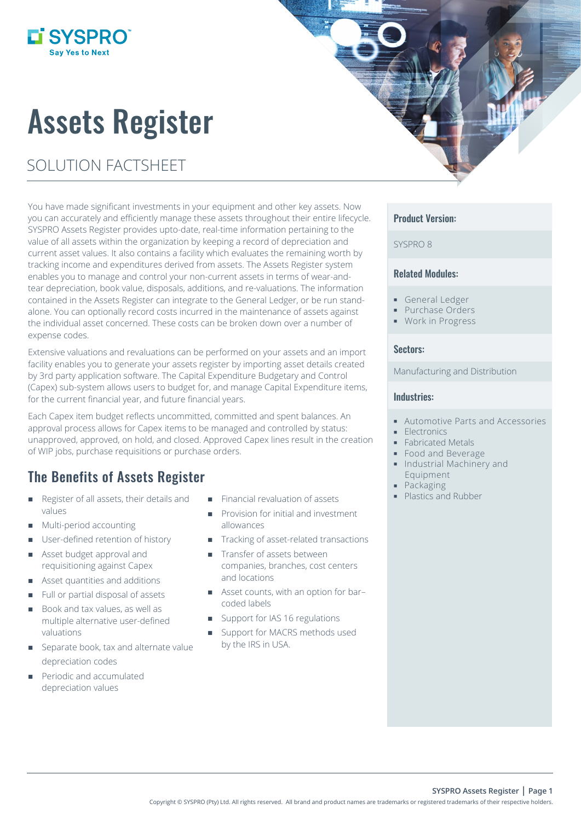# Assets Register

## SOLUTION FACTSHEET

**Li SYSPRO** 

You have made significant investments in your equipment and other key assets. Now you can accurately and efficiently manage these assets throughout their entire lifecycle. SYSPRO Assets Register provides upto-date, real-time information pertaining to the value of all assets within the organization by keeping a record of depreciation and current asset values. It also contains a facility which evaluates the remaining worth by tracking income and expenditures derived from assets. The Assets Register system enables you to manage and control your non-current assets in terms of wear-andtear depreciation, book value, disposals, additions, and re-valuations. The information contained in the Assets Register can integrate to the General Ledger, or be run standalone. You can optionally record costs incurred in the maintenance of assets against the individual asset concerned. These costs can be broken down over a number of expense codes.

Extensive valuations and revaluations can be performed on your assets and an import facility enables you to generate your assets register by importing asset details created by 3rd party application software. The Capital Expenditure Budgetary and Control (Capex) sub-system allows users to budget for, and manage Capital Expenditure items, for the current financial year, and future financial years.

Each Capex item budget reflects uncommitted, committed and spent balances. An approval process allows for Capex items to be managed and controlled by status: unapproved, approved, on hold, and closed. Approved Capex lines result in the creation of WIP jobs, purchase requisitions or purchase orders.

## The Benefits of Assets Register

- Register of all assets, their details and values
- Multi-period accounting
- **User-defined retention of history**
- **Asset budget approval and** requisitioning against Capex
- Asset quantities and additions
- Full or partial disposal of assets
- Book and tax values, as well as multiple alternative user-defined valuations
- Separate book, tax and alternate value depreciation codes
- Periodic and accumulated depreciation values
- Financial revaluation of assets
- Provision for initial and investment allowances
- Tracking of asset-related transactions
- **Transfer of assets between** companies, branches, cost centers and locations
- Asset counts, with an option for bar– coded labels
- Support for IAS 16 regulations
- Support for MACRS methods used by the IRS in USA.

#### Product Version:

#### SYSPRO 8

#### Related Modules:

- General Ledger
- **Purchase Orders**
- **Work in Progress**

#### Sectors:

#### Manufacturing and Distribution

#### Industries:

- Automotive Parts and Accessories
- Electronics
- **Fabricated Metals**
- Food and Beverage
- **Industrial Machinery and** Equipment
- Packaging
- Plastics and Rubber